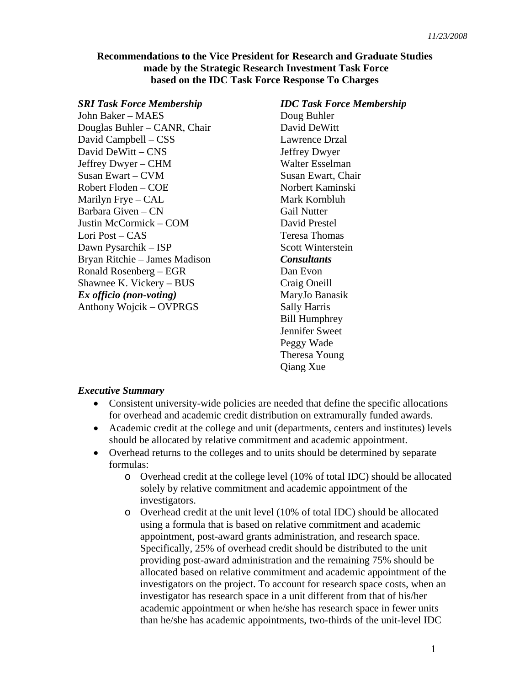### **Recommendations to the Vice President for Research and Graduate Studies made by the Strategic Research Investment Task Force based on the IDC Task Force Response To Charges**

#### *SRI Task Force Membership*

John Baker – MAES Douglas Buhler – CANR, Chair David Campbell – CSS David DeWitt – CNS Jeffrey Dwyer – CHM Susan Ewart – CVM Robert Floden – COE Marilyn Frye – CAL Barbara Given – CN Justin McCormick – COM Lori Post – CAS Dawn Pysarchik – ISP Bryan Ritchie – James Madison Ronald Rosenberg – EGR Shawnee K. Vickery – BUS *Ex officio (non-voting)*  Anthony Wojcik – OVPRGS

# *IDC Task Force Membership*  Doug Buhler David DeWitt Lawrence Drzal Jeffrey Dwyer Walter Esselman Susan Ewart, Chair Norbert Kaminski Mark Kornbluh Gail Nutter David Prestel Teresa Thomas Scott Winterstein *Consultants*  Dan Evon Craig Oneill MaryJo Banasik Sally Harris Bill Humphrey Jennifer Sweet Peggy Wade Theresa Young Qiang Xue

# *Executive Summary*

- Consistent university-wide policies are needed that define the specific allocations for overhead and academic credit distribution on extramurally funded awards.
- Academic credit at the college and unit (departments, centers and institutes) levels should be allocated by relative commitment and academic appointment.
- Overhead returns to the colleges and to units should be determined by separate formulas:
	- o Overhead credit at the college level (10% of total IDC) should be allocated solely by relative commitment and academic appointment of the investigators.
	- o Overhead credit at the unit level (10% of total IDC) should be allocated using a formula that is based on relative commitment and academic appointment, post-award grants administration, and research space. Specifically, 25% of overhead credit should be distributed to the unit providing post-award administration and the remaining 75% should be allocated based on relative commitment and academic appointment of the investigators on the project. To account for research space costs, when an investigator has research space in a unit different from that of his/her academic appointment or when he/she has research space in fewer units than he/she has academic appointments, two-thirds of the unit-level IDC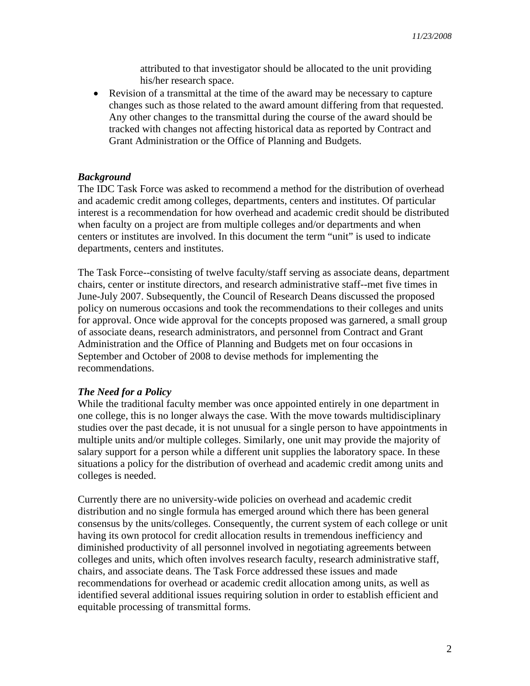attributed to that investigator should be allocated to the unit providing his/her research space.

• Revision of a transmittal at the time of the award may be necessary to capture changes such as those related to the award amount differing from that requested. Any other changes to the transmittal during the course of the award should be tracked with changes not affecting historical data as reported by Contract and Grant Administration or the Office of Planning and Budgets.

#### *Background*

The IDC Task Force was asked to recommend a method for the distribution of overhead and academic credit among colleges, departments, centers and institutes. Of particular interest is a recommendation for how overhead and academic credit should be distributed when faculty on a project are from multiple colleges and/or departments and when centers or institutes are involved. In this document the term "unit" is used to indicate departments, centers and institutes.

The Task Force--consisting of twelve faculty/staff serving as associate deans, department chairs, center or institute directors, and research administrative staff--met five times in June-July 2007. Subsequently, the Council of Research Deans discussed the proposed policy on numerous occasions and took the recommendations to their colleges and units for approval. Once wide approval for the concepts proposed was garnered, a small group of associate deans, research administrators, and personnel from Contract and Grant Administration and the Office of Planning and Budgets met on four occasions in September and October of 2008 to devise methods for implementing the recommendations.

#### *The Need for a Policy*

While the traditional faculty member was once appointed entirely in one department in one college, this is no longer always the case. With the move towards multidisciplinary studies over the past decade, it is not unusual for a single person to have appointments in multiple units and/or multiple colleges. Similarly, one unit may provide the majority of salary support for a person while a different unit supplies the laboratory space. In these situations a policy for the distribution of overhead and academic credit among units and colleges is needed.

Currently there are no university-wide policies on overhead and academic credit distribution and no single formula has emerged around which there has been general consensus by the units/colleges. Consequently, the current system of each college or unit having its own protocol for credit allocation results in tremendous inefficiency and diminished productivity of all personnel involved in negotiating agreements between colleges and units, which often involves research faculty, research administrative staff, chairs, and associate deans. The Task Force addressed these issues and made recommendations for overhead or academic credit allocation among units, as well as identified several additional issues requiring solution in order to establish efficient and equitable processing of transmittal forms.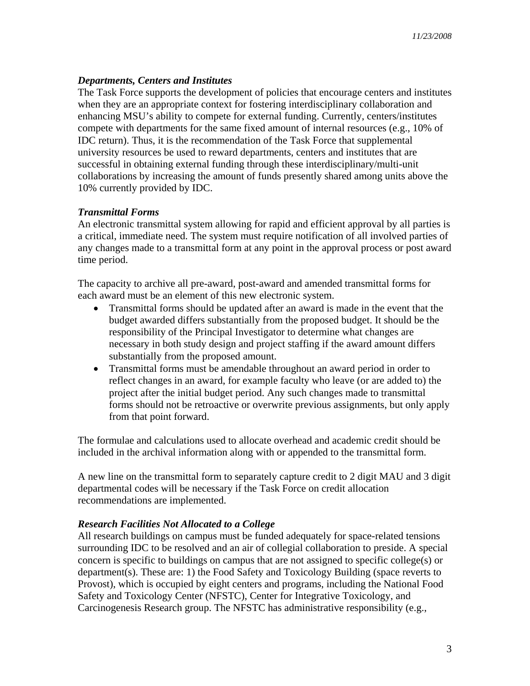# *Departments, Centers and Institutes*

The Task Force supports the development of policies that encourage centers and institutes when they are an appropriate context for fostering interdisciplinary collaboration and enhancing MSU's ability to compete for external funding. Currently, centers/institutes compete with departments for the same fixed amount of internal resources (e.g., 10% of IDC return). Thus, it is the recommendation of the Task Force that supplemental university resources be used to reward departments, centers and institutes that are successful in obtaining external funding through these interdisciplinary/multi-unit collaborations by increasing the amount of funds presently shared among units above the 10% currently provided by IDC.

# *Transmittal Forms*

An electronic transmittal system allowing for rapid and efficient approval by all parties is a critical, immediate need. The system must require notification of all involved parties of any changes made to a transmittal form at any point in the approval process or post award time period.

The capacity to archive all pre-award, post-award and amended transmittal forms for each award must be an element of this new electronic system.

- Transmittal forms should be updated after an award is made in the event that the budget awarded differs substantially from the proposed budget. It should be the responsibility of the Principal Investigator to determine what changes are necessary in both study design and project staffing if the award amount differs substantially from the proposed amount.
- Transmittal forms must be amendable throughout an award period in order to reflect changes in an award, for example faculty who leave (or are added to) the project after the initial budget period. Any such changes made to transmittal forms should not be retroactive or overwrite previous assignments, but only apply from that point forward.

The formulae and calculations used to allocate overhead and academic credit should be included in the archival information along with or appended to the transmittal form.

A new line on the transmittal form to separately capture credit to 2 digit MAU and 3 digit departmental codes will be necessary if the Task Force on credit allocation recommendations are implemented.

# *Research Facilities Not Allocated to a College*

All research buildings on campus must be funded adequately for space-related tensions surrounding IDC to be resolved and an air of collegial collaboration to preside. A special concern is specific to buildings on campus that are not assigned to specific college(s) or department(s). These are: 1) the Food Safety and Toxicology Building (space reverts to Provost), which is occupied by eight centers and programs, including the National Food Safety and Toxicology Center (NFSTC), Center for Integrative Toxicology, and Carcinogenesis Research group. The NFSTC has administrative responsibility (e.g.,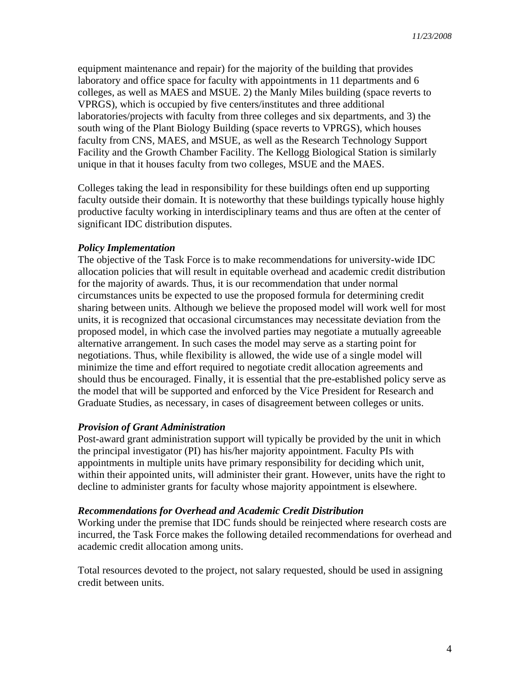equipment maintenance and repair) for the majority of the building that provides laboratory and office space for faculty with appointments in 11 departments and 6 colleges, as well as MAES and MSUE. 2) the Manly Miles building (space reverts to VPRGS), which is occupied by five centers/institutes and three additional laboratories/projects with faculty from three colleges and six departments, and 3) the south wing of the Plant Biology Building (space reverts to VPRGS), which houses faculty from CNS, MAES, and MSUE, as well as the Research Technology Support Facility and the Growth Chamber Facility. The Kellogg Biological Station is similarly unique in that it houses faculty from two colleges, MSUE and the MAES.

Colleges taking the lead in responsibility for these buildings often end up supporting faculty outside their domain. It is noteworthy that these buildings typically house highly productive faculty working in interdisciplinary teams and thus are often at the center of significant IDC distribution disputes.

#### *Policy Implementation*

The objective of the Task Force is to make recommendations for university-wide IDC allocation policies that will result in equitable overhead and academic credit distribution for the majority of awards. Thus, it is our recommendation that under normal circumstances units be expected to use the proposed formula for determining credit sharing between units. Although we believe the proposed model will work well for most units, it is recognized that occasional circumstances may necessitate deviation from the proposed model, in which case the involved parties may negotiate a mutually agreeable alternative arrangement. In such cases the model may serve as a starting point for negotiations. Thus, while flexibility is allowed, the wide use of a single model will minimize the time and effort required to negotiate credit allocation agreements and should thus be encouraged. Finally, it is essential that the pre-established policy serve as the model that will be supported and enforced by the Vice President for Research and Graduate Studies, as necessary, in cases of disagreement between colleges or units.

#### *Provision of Grant Administration*

Post-award grant administration support will typically be provided by the unit in which the principal investigator (PI) has his/her majority appointment. Faculty PIs with appointments in multiple units have primary responsibility for deciding which unit, within their appointed units, will administer their grant. However, units have the right to decline to administer grants for faculty whose majority appointment is elsewhere.

### *Recommendations for Overhead and Academic Credit Distribution*

Working under the premise that IDC funds should be reinjected where research costs are incurred, the Task Force makes the following detailed recommendations for overhead and academic credit allocation among units.

Total resources devoted to the project, not salary requested, should be used in assigning credit between units.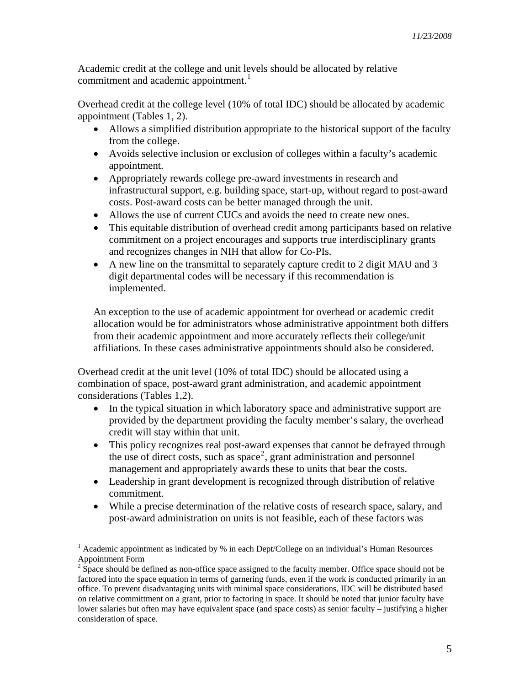Academic credit at the college and unit levels should be allocated by relative commitment and academic appointment.<sup>[1](#page-4-0)</sup>

Overhead credit at the college level (10% of total IDC) should be allocated by academic appointment (Tables 1, 2).

- Allows a simplified distribution appropriate to the historical support of the faculty from the college.
- Avoids selective inclusion or exclusion of colleges within a faculty's academic appointment.
- Appropriately rewards college pre-award investments in research and infrastructural support, e.g. building space, start-up, without regard to post-award costs. Post-award costs can be better managed through the unit.
- Allows the use of current CUCs and avoids the need to create new ones.
- This equitable distribution of overhead credit among participants based on relative commitment on a project encourages and supports true interdisciplinary grants and recognizes changes in NIH that allow for Co-PIs.
- A new line on the transmittal to separately capture credit to 2 digit MAU and 3 digit departmental codes will be necessary if this recommendation is implemented.

An exception to the use of academic appointment for overhead or academic credit allocation would be for administrators whose administrative appointment both differs from their academic appointment and more accurately reflects their college/unit affiliations. In these cases administrative appointments should also be considered.

Overhead credit at the unit level (10% of total IDC) should be allocated using a combination of space, post-award grant administration, and academic appointment considerations (Tables 1,2).

- In the typical situation in which laboratory space and administrative support are provided by the department providing the faculty member's salary, the overhead credit will stay within that unit.
- This policy recognizes real post-award expenses that cannot be defrayed through the use of direct costs, such as  $space^2$  $space^2$ , grant administration and personnel management and appropriately awards these to units that bear the costs.
- Leadership in grant development is recognized through distribution of relative commitment.
- While a precise determination of the relative costs of research space, salary, and post-award administration on units is not feasible, each of these factors was

 $\overline{a}$ 

<span id="page-4-0"></span><sup>&</sup>lt;sup>1</sup> Academic appointment as indicated by % in each Dept/College on an individual's Human Resources Appointment Form

<span id="page-4-1"></span> $2^{2}$  Space should be defined as non-office space assigned to the faculty member. Office space should not be factored into the space equation in terms of garnering funds, even if the work is conducted primarily in an office. To prevent disadvantaging units with minimal space considerations, IDC will be distributed based on relative committment on a grant, prior to factoring in space. It should be noted that junior faculty have lower salaries but often may have equivalent space (and space costs) as senior faculty – justifying a higher consideration of space.